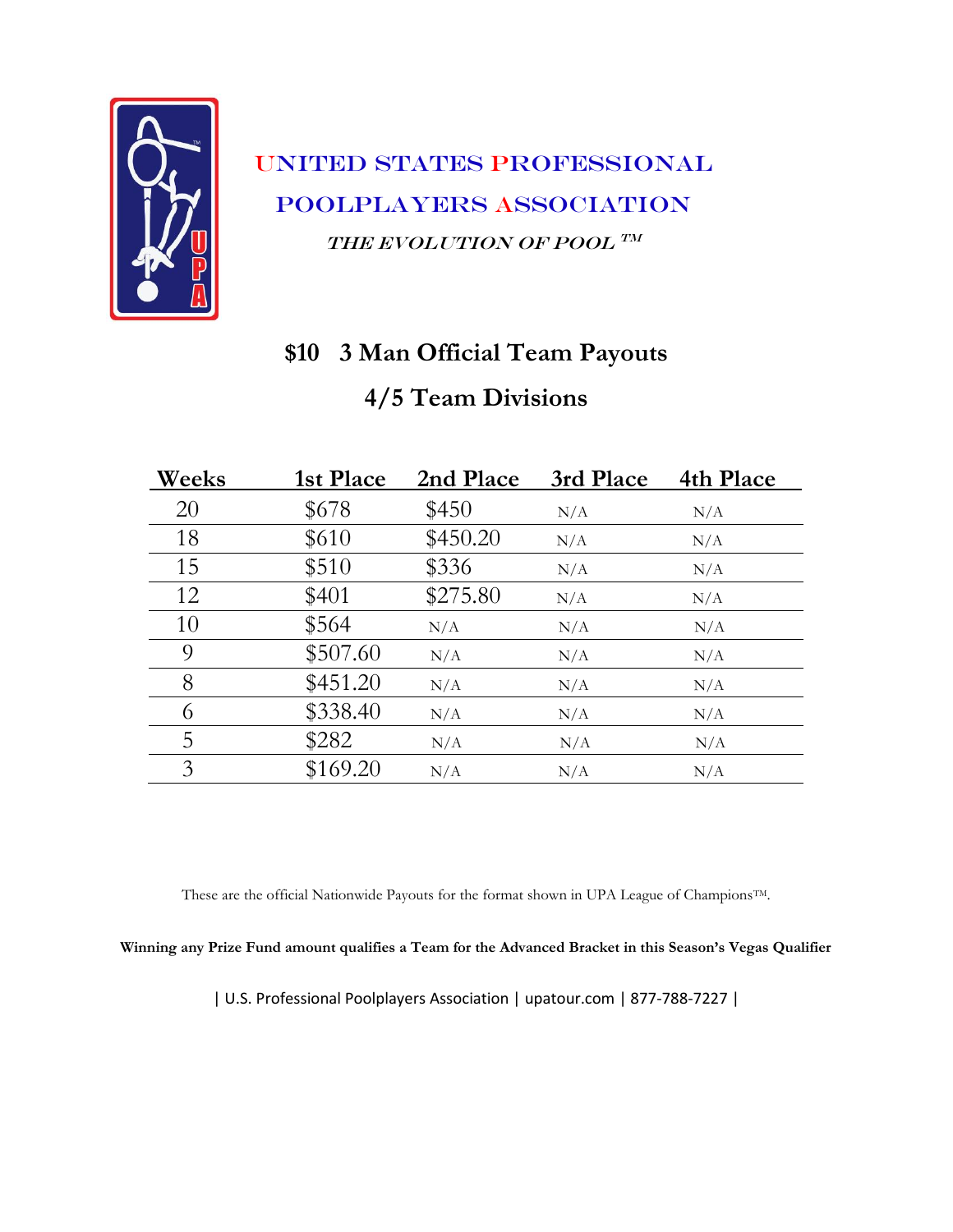

### **\$10 3 Man Official Team Payouts**

#### **4/5 Team Divisions**

| Weeks | 1st Place | 2nd Place | 3rd Place | 4th Place |
|-------|-----------|-----------|-----------|-----------|
| 20    | \$678     | \$450     | N/A       | N/A       |
| 18    | \$610     | \$450.20  | N/A       | N/A       |
| 15    | \$510     | \$336     | N/A       | N/A       |
| 12    | \$401     | \$275.80  | N/A       | N/A       |
| 10    | \$564     | N/A       | N/A       | N/A       |
| 9     | \$507.60  | N/A       | N/A       | N/A       |
| 8     | \$451.20  | N/A       | N/A       | N/A       |
| 6     | \$338.40  | N/A       | N/A       | N/A       |
| 5     | \$282     | N/A       | N/A       | N/A       |
| 3     | \$169.20  | N/A       | N/A       | N/A       |

These are the official Nationwide Payouts for the format shown in UPA League of ChampionsTM.

#### **Winning any Prize Fund amount qualifies a Team for the Advanced Bracket in this Season's Vegas Qualifier**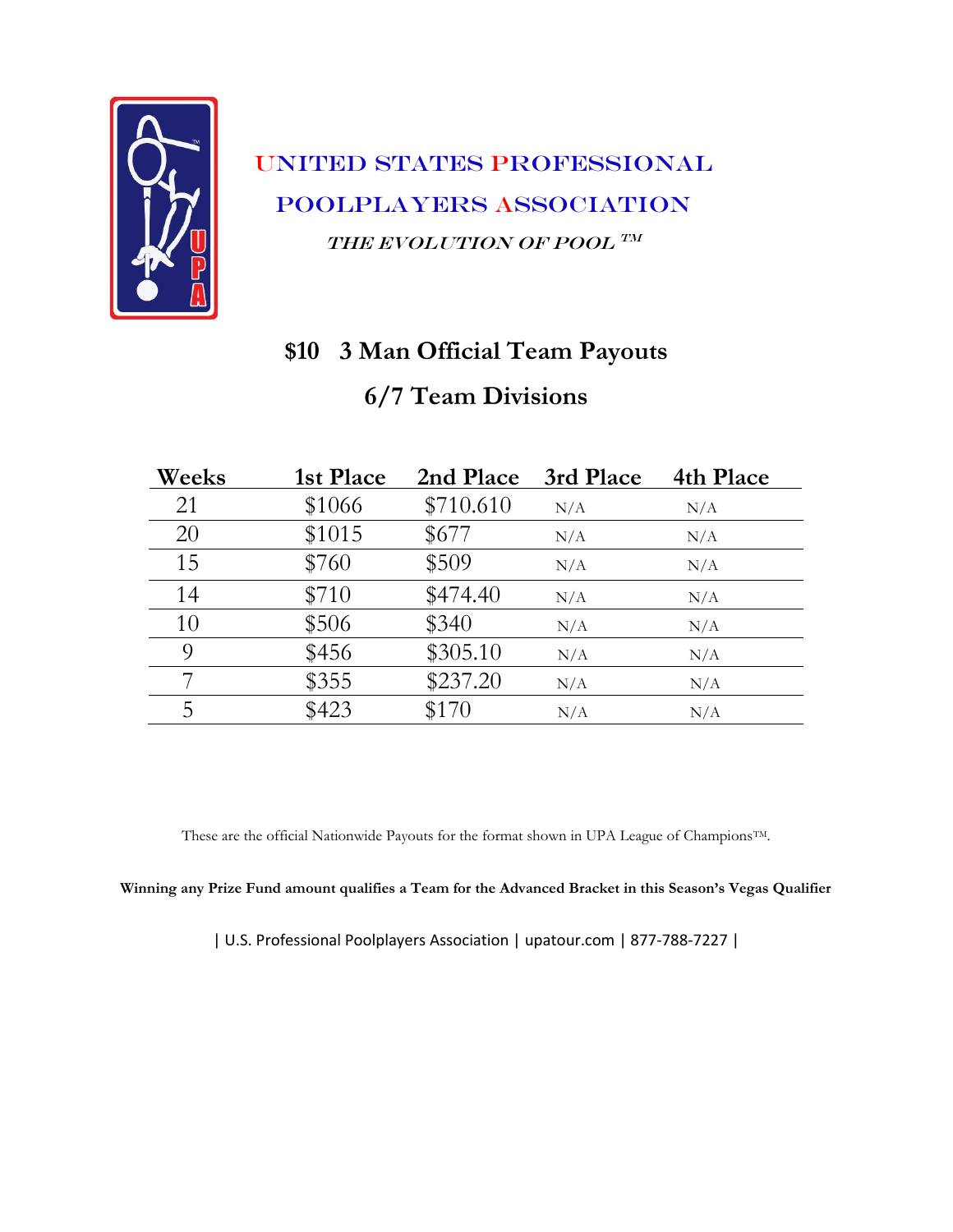

#### **\$10 3 Man Official Team Payouts**

#### **6/7 Team Divisions**

| Weeks | 1st Place | 2nd Place | 3rd Place | 4th Place |
|-------|-----------|-----------|-----------|-----------|
| 21    | \$1066    | \$710.610 | N/A       | N/A       |
| 20    | \$1015    | \$677     | N/A       | N/A       |
| 15    | \$760     | \$509     | N/A       | N/A       |
| 14    | \$710     | \$474.40  | N/A       | N/A       |
| 10    | \$506     | \$340     | N/A       | N/A       |
| 9     | \$456     | \$305.10  | N/A       | N/A       |
|       | \$355     | \$237.20  | N/A       | N/A       |
| 5     | \$423     | \$170     | N/A       | N/A       |

These are the official Nationwide Payouts for the format shown in UPA League of ChampionsTM.

**Winning any Prize Fund amount qualifies a Team for the Advanced Bracket in this Season's Vegas Qualifier**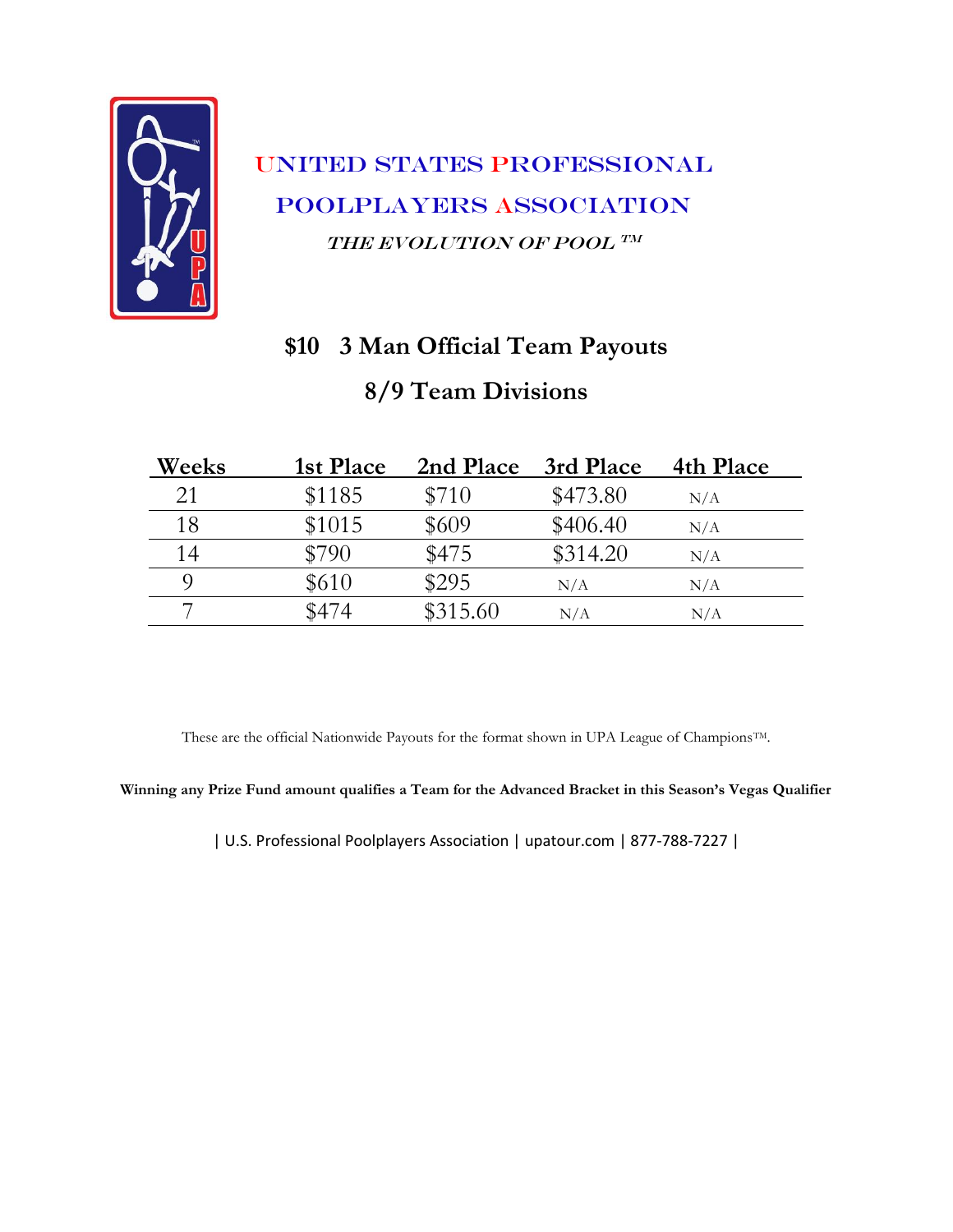

# **\$10 3 Man Official Team Payouts 8/9 Team Divisions**

| Weeks | 1st Place | 2nd Place | 3rd Place | 4th Place |
|-------|-----------|-----------|-----------|-----------|
| 21    | \$1185    | \$710     | \$473.80  | N/A       |
| 18    | \$1015    | \$609     | \$406.40  | N/A       |
| 14    | \$790     | \$475     | \$314.20  | N/A       |
|       | \$610     | \$295     | N/A       | N/A       |
|       | \$474     | \$315.60  | N/A       | N/A       |

These are the official Nationwide Payouts for the format shown in UPA League of Champions<sup>TM</sup>.

**Winning any Prize Fund amount qualifies a Team for the Advanced Bracket in this Season's Vegas Qualifier**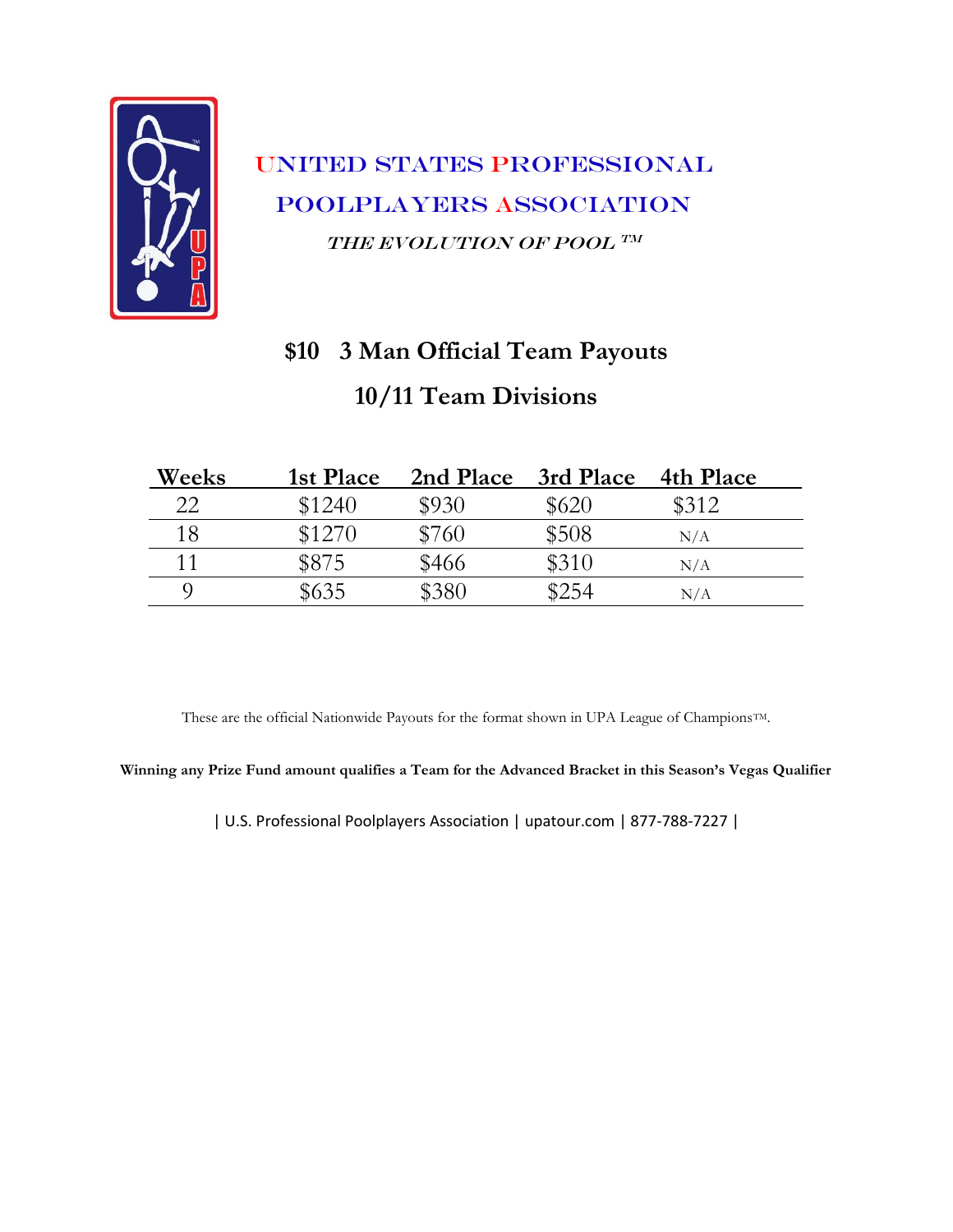

# **\$10 3 Man Official Team Payouts 10/11 Team Divisions**

| Weeks | 1st Place | 2nd Place | 3rd Place | 4th Place |
|-------|-----------|-----------|-----------|-----------|
| 22    | \$1240    | \$930     | \$620     | \$312     |
| 18    | \$1270    | \$760     | \$508     | N/A       |
| 11    | \$875     | \$466     | \$310     | N/A       |
|       | \$635     | \$380     | \$254     | N/A       |

These are the official Nationwide Payouts for the format shown in UPA League of Champions<sup>TM</sup>.

**Winning any Prize Fund amount qualifies a Team for the Advanced Bracket in this Season's Vegas Qualifier**